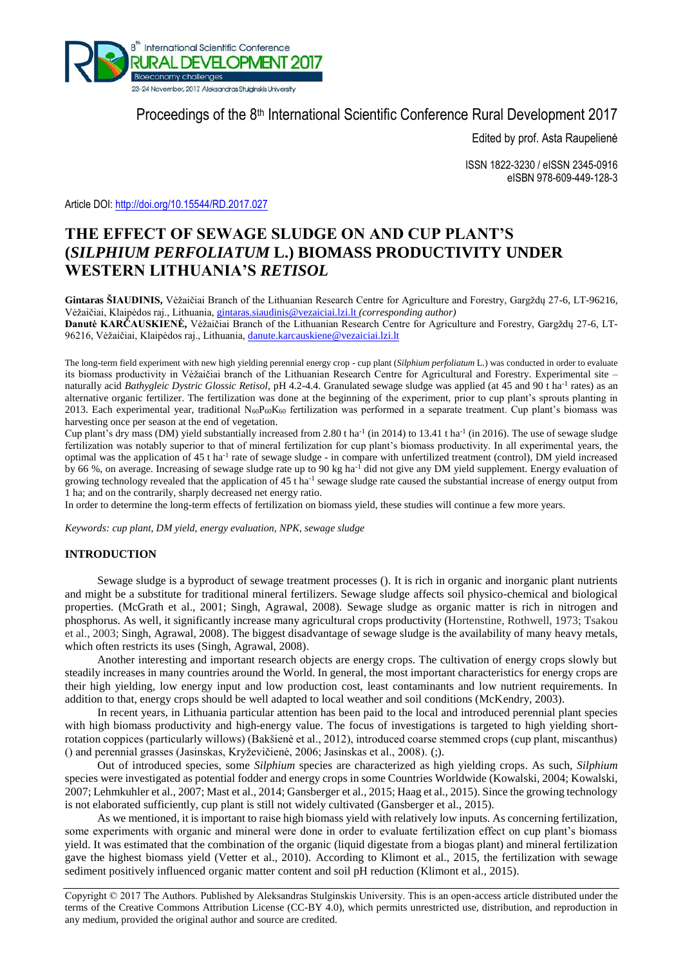

## Proceedings of the 8<sup>th</sup> International Scientific Conference Rural Development 2017

Edited by prof. Asta Raupelienė

ISSN 1822-3230 / eISSN 2345-0916 eISBN 978-609-449-128-3

Article DOI: <http://doi.org/10.15544/RD.2017.027>

# **THE EFFECT OF SEWAGE SLUDGE ON AND CUP PLANT'S (***SILPHIUM PERFOLIATUM* **L.) BIOMASS PRODUCTIVITY UNDER WESTERN LITHUANIA'S** *RETISOL*

**Gintaras ŠIAUDINIS,** Vėžaičiai Branch of the Lithuanian Research Centre for Agriculture and Forestry, Gargždų 27-6, LT-96216, Vėžaičiai, Klaipėdos raj., Lithuania, [gintaras.siaudinis@vezaiciai.lzi.lt](mailto:gintaras.siaudinis@vezaiciai.lzi.lt) *(corresponding author)*

**Danutė KARČAUSKIENĖ,** Vėžaičiai Branch of the Lithuanian Research Centre for Agriculture and Forestry, Gargždų 27-6, LT-96216, Vėžaičiai, Klaipėdos raj., Lithuania, [danute.karcauskiene@vezaiciai.lzi.lt](mailto:danute.karcauskiene@vezaiciai.lzi.lt)

The long-term field experiment with new high yielding perennial energy crop - cup plant (*Silphium perfoliatum* L.) was conducted in order to evaluate its biomass productivity in Vėžaičiai branch of the Lithuanian Research Centre for Agricultural and Forestry. Experimental site – naturally acid Bathygleic Dystric Glossic Retisol, pH 4.2-4.4. Granulated sewage sludge was applied (at 45 and 90 t ha<sup>-1</sup> rates) as an alternative organic fertilizer. The fertilization was done at the beginning of the experiment, prior to cup plant's sprouts planting in 2013. Each experimental year, traditional N60P60K<sup>60</sup> fertilization was performed in a separate treatment. Cup plant's biomass was harvesting once per season at the end of vegetation.

Cup plant's dry mass (DM) yield substantially increased from 2.80 t ha<sup>-1</sup> (in 2014) to 13.41 t ha<sup>-1</sup> (in 2016). The use of sewage sludge fertilization was notably superior to that of mineral fertilization for cup plant's biomass productivity. In all experimental years, the optimal was the application of 45 t ha<sup>-1</sup> rate of sewage sludge - in compare with unfertilized treatment (control), DM yield increased by 66 %, on average. Increasing of sewage sludge rate up to 90 kg ha<sup>-1</sup> did not give any DM yield supplement. Energy evaluation of growing technology revealed that the application of 45 t ha<sup>-1</sup> sewage sludge rate caused the substantial increase of energy output from 1 ha; and on the contrarily, sharply decreased net energy ratio.

In order to determine the long-term effects of fertilization on biomass yield, these studies will continue a few more years.

*Keywords: cup plant, DM yield, energy evaluation, NPK, sewage sludge*

## **INTRODUCTION**

Sewage sludge is a byproduct of sewage treatment processes (). It is rich in organic and inorganic plant nutrients and might be a substitute for traditional mineral fertilizers. Sewage sludge affects soil physico-chemical and biological properties. (McGrath et al., 2001; Singh, Agrawal, 2008). Sewage sludge as organic matter is rich in nitrogen and phosphorus. As well, it significantly increase many agricultural crops productivity (Hortenstine, Rothwell, 1973; Tsakou et al., 2003; Singh, Agrawal, 2008). The biggest disadvantage of sewage sludge is the availability of many heavy metals, which often restricts its uses (Singh, Agrawal, 2008).

Another interesting and important research objects are energy crops. The cultivation of energy crops slowly but steadily increases in many countries around the World. In general, the most important characteristics for energy crops are their high yielding, low energy input and low production cost, least contaminants and low nutrient requirements. In addition to that, energy crops should be well adapted to local weather and soil conditions (McKendry, 2003).

In recent years, in Lithuania particular attention has been paid to the local and introduced perennial plant species with high biomass productivity and high-energy value. The focus of investigations is targeted to high yielding shortrotation coppices (particularly willows) (Bakšienė et al., 2012), introduced coarse stemmed crops (cup plant, miscanthus) () and perennial grasses (Jasinskas, Kryževičienė, 2006; Jasinskas et al., 2008). (;).

Out of introduced species, some *Silphium* species are characterized as high yielding crops. As such, *Silphium* species were investigated as potential fodder and energy crops in some Countries Worldwide (Kowalski, 2004; Kowalski, 2007; Lehmkuhler et al., 2007; Mast et al., 2014; Gansberger et al., 2015; Haag et al., 2015). Since the growing technology is not elaborated sufficiently, cup plant is still not widely cultivated (Gansberger et al., 2015).

As we mentioned, it is important to raise high biomass yield with relatively low inputs. As concerning fertilization, some experiments with organic and mineral were done in order to evaluate fertilization effect on cup plant's biomass yield. It was estimated that the combination of the organic (liquid digestate from a biogas plant) and mineral fertilization gave the highest biomass yield (Vetter et al., 2010). According to Klimont et al., 2015, the fertilization with sewage sediment positively influenced organic matter content and soil pH reduction (Klimont et al., 2015).

Copyright © 2017 The Authors. Published by Aleksandras Stulginskis University. This is an open-access article distributed under the terms of the Creative Commons Attribution License (CC-BY 4.0), which permits unrestricted use, distribution, and reproduction in any medium, provided the original author and source are credited.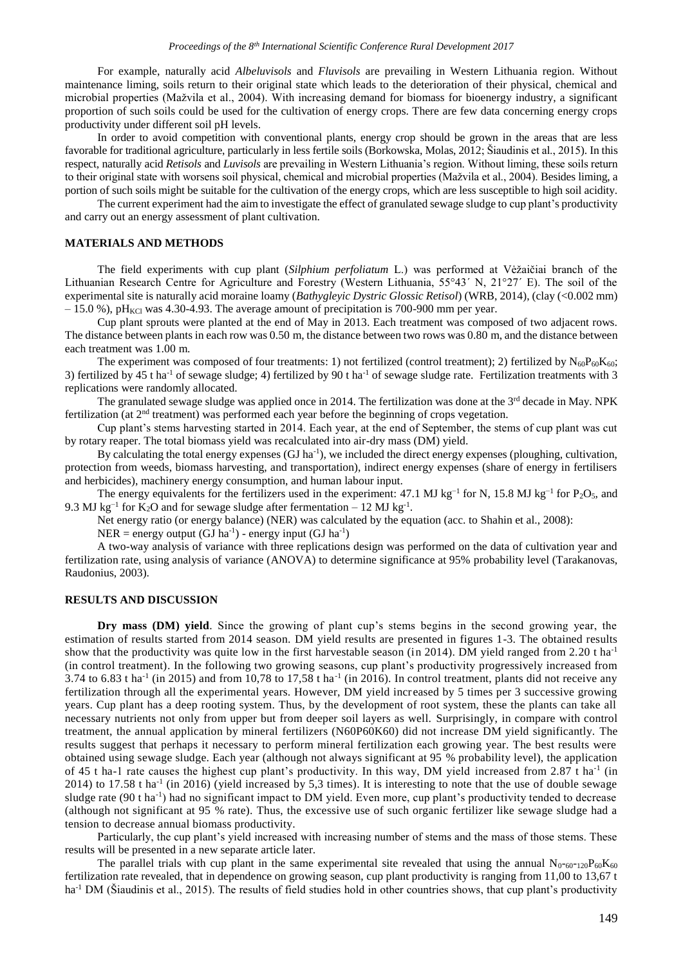For example, naturally acid *Albeluvisols* and *Fluvisols* are prevailing in Western Lithuania region. Without maintenance liming, soils return to their original state which leads to the deterioration of their physical, chemical and microbial properties (Mažvila et al., 2004). With increasing demand for biomass for bioenergy industry, a significant proportion of such soils could be used for the cultivation of energy crops. There are few data concerning energy crops productivity under different soil pH levels.

In order to avoid competition with conventional plants, energy crop should be grown in the areas that are less favorable for traditional agriculture, particularly in less fertile soils (Borkowska, Molas, 2012; Šiaudinis et al., 2015). In this respect, naturally acid *Retisols* and *Luvisols* are prevailing in Western Lithuania's region. Without liming, these soils return to their original state with worsens soil physical, chemical and microbial properties (Mažvila et al., 2004). Besides liming, a portion of such soils might be suitable for the cultivation of the energy crops, which are less susceptible to high soil acidity.

The current experiment had the aim to investigate the effect of granulated sewage sludge to cup plant's productivity and carry out an energy assessment of plant cultivation.

#### **MATERIALS AND METHODS**

The field experiments with cup plant (*Silphium perfoliatum* L.) was performed at Vėžaičiai branch of the Lithuanian Research Centre for Agriculture and Forestry (Western Lithuania, 55°43´ N, 21°27´ E). The soil of the experimental site is naturally acid moraine loamy (*Bathygleyic Dystric Glossic Retisol*) (WRB, 2014), (clay (<0.002 mm)  $-15.0$  %), pH<sub>KCl</sub> was 4.30-4.93. The average amount of precipitation is 700-900 mm per year.

Cup plant sprouts were planted at the end of May in 2013. Each treatment was composed of two adjacent rows. The distance between plants in each row was 0.50 m, the distance between two rows was 0.80 m, and the distance between each treatment was 1.00 m.

The experiment was composed of four treatments: 1) not fertilized (control treatment); 2) fertilized by  $N_{60}P_{60}K_{60}$ ; 3) fertilized by 45 t ha<sup>-1</sup> of sewage sludge; 4) fertilized by 90 t ha<sup>-1</sup> of sewage sludge rate. Fertilization treatments with 3 replications were randomly allocated.

The granulated sewage sludge was applied once in 2014. The fertilization was done at the 3<sup>rd</sup> decade in May. NPK fertilization (at 2<sup>nd</sup> treatment) was performed each year before the beginning of crops vegetation.

Cup plant's stems harvesting started in 2014. Each year, at the end of September, the stems of cup plant was cut by rotary reaper. The total biomass yield was recalculated into air-dry mass (DM) yield.

By calculating the total energy expenses (GJ ha<sup>-1</sup>), we included the direct energy expenses (ploughing, cultivation, protection from weeds, biomass harvesting, and transportation), indirect energy expenses (share of energy in fertilisers and herbicides), machinery energy consumption, and human labour input.

The energy equivalents for the fertilizers used in the experiment: 47.1 MJ kg<sup>-1</sup> for N, 15.8 MJ kg<sup>-1</sup> for P<sub>2</sub>O<sub>5</sub>, and 9.3 MJ kg<sup>-1</sup> for K<sub>2</sub>O and for sewage sludge after fermentation – 12 MJ kg<sup>-1</sup>.

Net energy ratio (or energy balance) (NER) was calculated by the equation (acc. to Shahin et al., 2008):

 $NER = energy output (GJ ha^{-1}) - energy input (GJ ha^{-1})$ 

A two-way analysis of variance with three replications design was performed on the data of cultivation year and fertilization rate, using analysis of variance (ANOVA) to determine significance at 95% probability level (Tarakanovas, Raudonius, 2003).

#### **RESULTS AND DISCUSSION**

**Dry mass (DM) yield**. Since the growing of plant cup's stems begins in the second growing year, the estimation of results started from 2014 season. DM yield results are presented in figures 1-3. The obtained results show that the productivity was quite low in the first harvestable season (in 2014). DM yield ranged from 2.20 t ha-1 (in control treatment). In the following two growing seasons, cup plant's productivity progressively increased from 3.74 to 6.83 t ha<sup>-1</sup> (in 2015) and from 10,78 to 17,58 t ha<sup>-1</sup> (in 2016). In control treatment, plants did not receive any fertilization through all the experimental years. However, DM yield increased by 5 times per 3 successive growing years. Cup plant has a deep rooting system. Thus, by the development of root system, these the plants can take all necessary nutrients not only from upper but from deeper soil layers as well. Surprisingly, in compare with control treatment, the annual application by mineral fertilizers (N60P60K60) did not increase DM yield significantly. The results suggest that perhaps it necessary to perform mineral fertilization each growing year. The best results were obtained using sewage sludge. Each year (although not always significant at 95 % probability level), the application of 45 t ha-1 rate causes the highest cup plant's productivity. In this way, DM yield increased from 2.87 t ha<sup>-1</sup> (in 2014) to 17.58 t ha<sup>-1</sup> (in 2016) (yield increased by 5,3 times). It is interesting to note that the use of double sewage sludge rate  $(90 \text{ t} \text{ ha}^{-1})$  had no significant impact to DM yield. Even more, cup plant's productivity tended to decrease (although not significant at 95 % rate). Thus, the excessive use of such organic fertilizer like sewage sludge had a tension to decrease annual biomass productivity.

Particularly, the cup plant's yield increased with increasing number of stems and the mass of those stems. These results will be presented in a new separate article later.

The parallel trials with cup plant in the same experimental site revealed that using the annual  $N_{0-60-120}P_{60}K_{60}$ fertilization rate revealed, that in dependence on growing season, cup plant productivity is ranging from 11,00 to 13,67 t ha<sup>-1</sup> DM (Šiaudinis et al., 2015). The results of field studies hold in other countries shows, that cup plant's productivity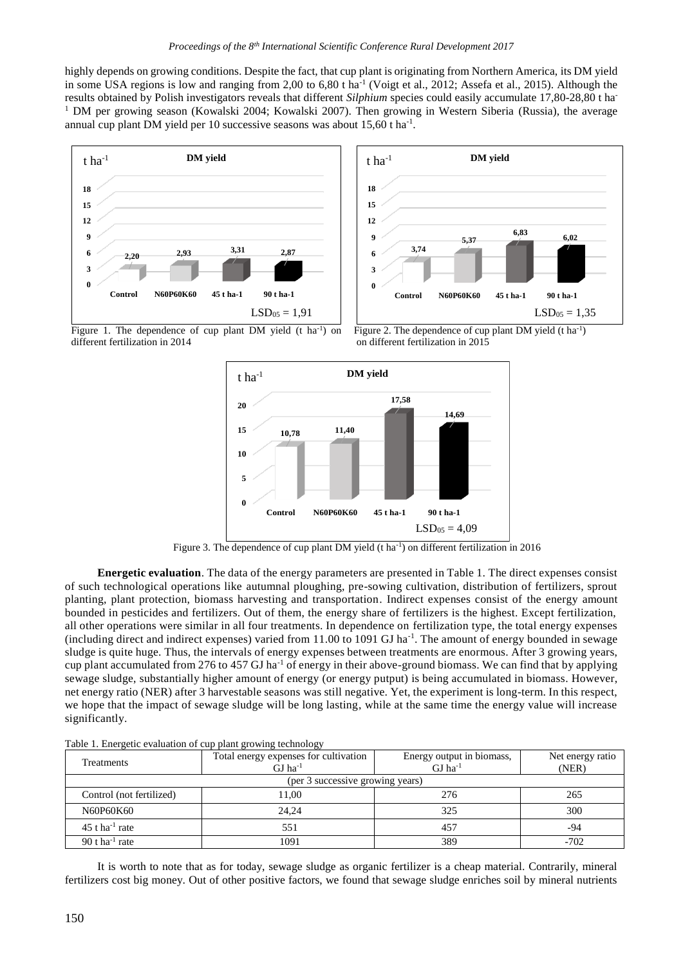highly depends on growing conditions. Despite the fact, that cup plant is originating from Northern America, its DM yield in some USA regions is low and ranging from 2,00 to 6,80 t ha<sup>-1</sup> (Voigt et al., 2012; Assefa et al., 2015). Although the results obtained by Polish investigators reveals that different *Silphium* species could easily accumulate 17,80-28,80 t ha-<sup>1</sup> DM per growing season (Kowalski 2004; Kowalski 2007). Then growing in Western Siberia (Russia), the average annual cup plant DM yield per 10 successive seasons was about 15,60 t ha<sup>-1</sup>.





Figure 1. The dependence of cup plant DM yield  $(t \text{ ha}^{-1})$  on different fertilization in 2014

Figure 2. The dependence of cup plant DM yield (t ha<sup>-1</sup>) on different fertilization in 2015



Figure 3. The dependence of cup plant DM yield (t ha<sup>-1</sup>) on different fertilization in 2016

**Energetic evaluation**. The data of the energy parameters are presented in Table 1. The direct expenses consist of such technological operations like autumnal ploughing, pre-sowing cultivation, distribution of fertilizers, sprout planting, plant protection, biomass harvesting and transportation. Indirect expenses consist of the energy amount bounded in pesticides and fertilizers. Out of them, the energy share of fertilizers is the highest. Except fertilization, all other operations were similar in all four treatments. In dependence on fertilization type, the total energy expenses  $(including direct and indirect expenses)$  varied from 11.00 to 1091 GJ ha<sup>-1</sup>. The amount of energy bounded in sewage sludge is quite huge. Thus, the intervals of energy expenses between treatments are enormous. After 3 growing years, cup plant accumulated from 276 to 457 GJ ha-1 of energy in their above-ground biomass. We can find that by applying sewage sludge, substantially higher amount of energy (or energy putput) is being accumulated in biomass. However, net energy ratio (NER) after 3 harvestable seasons was still negative. Yet, the experiment is long-term. In this respect, we hope that the impact of sewage sludge will be long lasting, while at the same time the energy value will increase significantly.

| ີ                                |                                                          |                                                    |                           |
|----------------------------------|----------------------------------------------------------|----------------------------------------------------|---------------------------|
| Treatments                       | Total energy expenses for cultivation<br>GL <sup>1</sup> | Energy output in biomass,<br>$GI$ ha <sup>-1</sup> | Net energy ratio<br>(NER) |
| (per 3 successive growing years) |                                                          |                                                    |                           |
| Control (not fertilized)         | 11.00                                                    | 276                                                | 265                       |
| N60P60K60                        | 24.24                                                    | 325                                                | 300                       |
| $45$ t ha <sup>-1</sup> rate     | 551                                                      | 457                                                | -94                       |
| 90 t ha <sup>-1</sup> rate       | 1091                                                     | 389                                                | $-702$                    |

Table 1. Energetic evaluation of cup plant growing technology

It is worth to note that as for today, sewage sludge as organic fertilizer is a cheap material. Contrarily, mineral fertilizers cost big money. Out of other positive factors, we found that sewage sludge enriches soil by mineral nutrients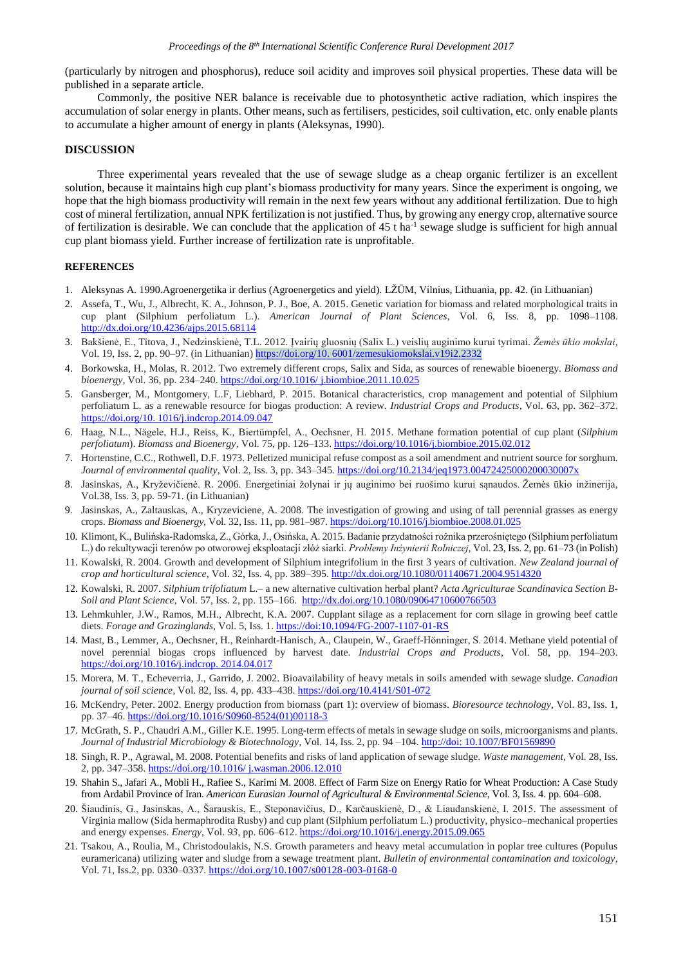(particularly by nitrogen and phosphorus), reduce soil acidity and improves soil physical properties. These data will be published in a separate article.

Commonly, the positive NER balance is receivable due to photosynthetic active radiation, which inspires the accumulation of solar energy in plants. Other means, such as fertilisers, pesticides, soil cultivation, etc. only enable plants to accumulate a higher amount of energy in plants (Aleksynas, 1990).

## **DISCUSSION**

Three experimental years revealed that the use of sewage sludge as a cheap organic fertilizer is an excellent solution, because it maintains high cup plant's biomass productivity for many years. Since the experiment is ongoing, we hope that the high biomass productivity will remain in the next few years without any additional fertilization. Due to high cost of mineral fertilization, annual NPK fertilization is not justified. Thus, by growing any energy crop, alternative source of fertilization is desirable. We can conclude that the application of  $45$  t ha<sup>-1</sup> sewage sludge is sufficient for high annual cup plant biomass yield. Further increase of fertilization rate is unprofitable.

#### **REFERENCES**

- 1. Aleksynas A. 1990.Agroenergetika ir derlius (Agroenergetics and yield). LŽŪM, Vilnius, Lithuania, pp. 42. (in Lithuanian)
- 2. Assefa, T., Wu, J., Albrecht, K. A., Johnson, P. J., Boe, A. 2015. Genetic variation for biomass and related morphological traits in cup plant (Silphium perfoliatum L.). *American Journal of Plant Sciences*, Vol. 6, Iss. 8, pp. 1098–1108. <http://dx.doi.org/10.4236/ajps.2015.68114>
- 3. Bakšienė, E., Titova, J., Nedzinskienė, T.L. 2012. Įvairių gluosnių (Salix L.) veislių auginimo kurui tyrimai. *Žemės ūkio mokslai*, Vol. 19, Iss. 2, pp. 90–97. (in Lithuanian) [https://doi.org/10. 6001/zemesukiomokslai.v19i2.2332](https://doi.org/10.%206001/zemesukiomokslai.v19i2.2332)
- 4. Borkowska, H., Molas, R. 2012. Two extremely different crops, Salix and Sida, as sources of renewable bioenergy. *Biomass and bioenergy*, Vol. 36, pp. 234–240. [https://doi.org/10.1016/ j.biombioe.2011.10.025](https://doi.org/10.1016/%20j.biombioe.2011.10.025)
- 5. Gansberger, M., Montgomery, L.F, Liebhard, P. 2015. Botanical characteristics, crop management and potential of Silphium perfoliatum L. as a renewable resource for biogas production: A review. *Industrial Crops and Products*, Vol. 63, pp. 362–372. [https://doi.org/10. 1016/j.indcrop.2014.09.047](https://doi.org/10.%201016/j.indcrop.2014.09.047)
- 6. Haag, N.L., Nägele, H.J., Reiss, K., Biertümpfel, A., Oechsner, H. 2015. Methane formation potential of cup plant (*Silphium perfoliatum*). *Biomass and Bioenergy*, Vol. 75, pp. 126–133. <https://doi.org/10.1016/j.biombioe.2015.02.012>
- 7. Hortenstine, C.C., Rothwell, D.F. 1973. Pelletized municipal refuse compost as a soil amendment and nutrient source for sorghum. *Journal of environmental quality*, Vol. 2, Iss. 3, pp. 343–345. <https://doi.org/10.2134/jeq1973.00472425000200030007x>
- 8. Jasinskas, A., Kryževičienė. R. 2006. Energetiniai žolynai ir jų auginimo bei ruošimo kurui sąnaudos. Žemės ūkio inžinerija, Vol.38, Iss. 3, pp. 59-71. (in Lithuanian)
- 9. Jasinskas, A., Zaltauskas, A., Kryzeviciene, A. 2008. The investigation of growing and using of tall perennial grasses as energy crops. *Biomass and Bioenergy*, Vol. 32, Iss. 11, pp. 981–987. <https://doi.org/10.1016/j.biombioe.2008.01.025>
- 10. Klimont, K., Bulińska-Radomska, Z., Górka, J., Osińska, A. 2015. Badanie przydatności rożnika przerośniętego (Silphium perfoliatum L.) do rekultywacji terenów po otworowej eksploatacji złóż siarki. *Problemy Inżynierii Rolniczej*, Vol. 23, Iss. 2, pp. 61–73 (in Polish)
- 11. Kowalski, R. 2004. Growth and development of Silphium integrifolium in the first 3 years of cultivation. *New Zealand journal of crop and horticultural science*, Vol. 32, Iss. 4, pp. 389–395. <http://dx.doi.org/10.1080/01140671.2004.9514320>
- 12. Kowalski, R. 2007. *Silphium trifoliatum* L.– a new alternative cultivation herbal plant? *Acta Agriculturae Scandinavica Section B-Soil and Plant Science*, Vol. 57, Iss. 2, pp. 155–166. <http://dx.doi.org/10.1080/09064710600766503>
- 13. Lehmkuhler, J.W., Ramos, M.H., Albrecht, K.A. 2007. Cupplant silage as a replacement for corn silage in growing beef cattle diets. *Forage and Grazinglands*, Vol. 5, Iss. 1. <https://doi:10.1094/FG-2007-1107-01-RS>
- 14. Mast, B., Lemmer, A., Oechsner, H., Reinhardt-Hanisch, A., Claupein, W., Graeff-Hönninger, S. 2014. Methane yield potential of novel perennial biogas crops influenced by harvest date. *Industrial Crops and Products*, Vol. 58, pp. 194–203. [https://doi.org/10.1016/j.indcrop. 2014.04.017](https://doi.org/10.1016/j.indcrop.%202014.04.017)
- 15. Morera, M. T., Echeverria, J., Garrido, J. 2002. Bioavailability of heavy metals in soils amended with sewage sludge. *Canadian journal of soil science*, Vol. 82, Iss. 4, pp. 433–438. <https://doi.org/10.4141/S01-072>
- 16. McKendry, Peter. 2002. Energy production from biomass (part 1): overview of biomass. *Bioresource technology*, Vol. 83, Iss. 1, pp. 37–46. [https://doi.org/10.1016/S0960-8524\(01\)00118-3](https://doi.org/10.1016/S0960-8524(01)00118-3)
- 17. McGrath, S. P., Chaudri A.M., Giller K.E. 1995. Long-term effects of metals in sewage sludge on soils, microorganisms and plants. *Journal of Industrial Microbiology & Biotechnology*, Vol. 14, Iss. 2, pp. 94 –104. http://doi: 10.1007/BF01569890
- 18. Singh, R. P., Agrawal, M. 2008. Potential benefits and risks of land application of sewage sludge. *Waste management*, Vol. 28, Iss. 2, pp. 347–358. [https://doi.org/10.1016/ j.wasman.2006.12.010](https://doi.org/10.1016/%20j.wasman.2006.12.010)
- 19. Shahin S., Jafari A., Mobli H., Rafiee S., Karimi M. 2008. Effect of Farm Size on Energy Ratio for Wheat Production: A Case Study from Ardabil Province of Iran. *American Eurasian Journal of Agricultural & Environmental Science*, Vol. 3, Iss. 4. pp. 604–608.
- 20. Šiaudinis, G., Jasinskas, A., Šarauskis, E., Steponavičius, D., Karčauskienė, D., & Liaudanskienė, I. 2015. The assessment of Virginia mallow (Sida hermaphrodita Rusby) and cup plant (Silphium perfoliatum L.) productivity, physico–mechanical properties and energy expenses. *Energy*, Vol. *93*, pp. 606–612. <https://doi.org/10.1016/j.energy.2015.09.065>
- 21. Tsakou, A., Roulia, M., Christodoulakis, N.S. Growth parameters and heavy metal accumulation in poplar tree cultures (Populus euramericana) utilizing water and sludge from a sewage treatment plant. *Bulletin of environmental contamination and toxicology*, Vol. 71, Iss.2, pp. 0330–0337. <https://doi.org/10.1007/s00128-003-0168-0>